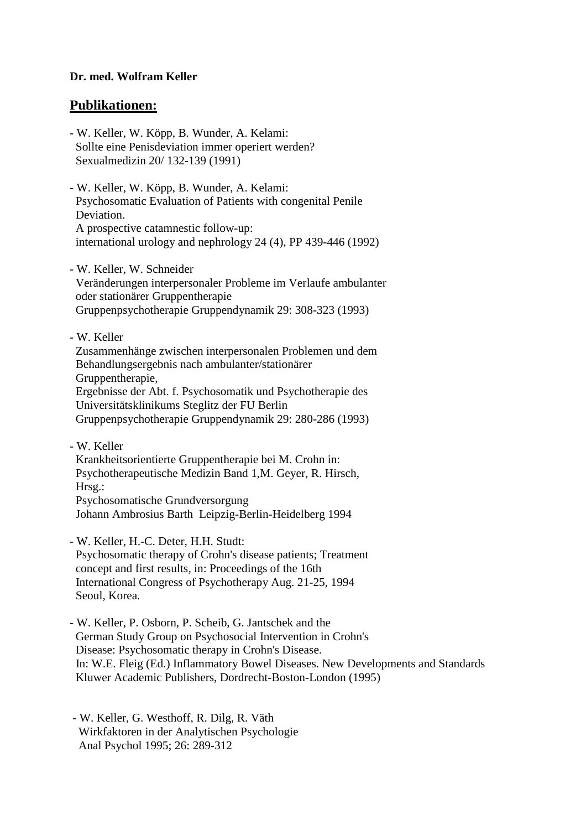## **Dr. med. Wolfram Keller**

## **Publikationen:**

- W. Keller, W. Köpp, B. Wunder, A. Kelami: Sollte eine Penisdeviation immer operiert werden? Sexualmedizin 20/ 132-139 (1991)
- W. Keller, W. Köpp, B. Wunder, A. Kelami: Psychosomatic Evaluation of Patients with congenital Penile Deviation. A prospective catamnestic follow-up: international urology and nephrology 24 (4), PP 439-446 (1992)
- W. Keller, W. Schneider Veränderungen interpersonaler Probleme im Verlaufe ambulanter oder stationärer Gruppentherapie Gruppenpsychotherapie Gruppendynamik 29: 308-323 (1993)
- W. Keller

 Zusammenhänge zwischen interpersonalen Problemen und dem Behandlungsergebnis nach ambulanter/stationärer Gruppentherapie, Ergebnisse der Abt. f. Psychosomatik und Psychotherapie des Universitätsklinikums Steglitz der FU Berlin Gruppenpsychotherapie Gruppendynamik 29: 280-286 (1993)

- W. Keller

 Krankheitsorientierte Gruppentherapie bei M. Crohn in: Psychotherapeutische Medizin Band 1,M. Geyer, R. Hirsch, Hrsg.: Psychosomatische Grundversorgung Johann Ambrosius Barth Leipzig-Berlin-Heidelberg 1994

- W. Keller, H.-C. Deter, H.H. Studt: Psychosomatic therapy of Crohn's disease patients; Treatment concept and first results, in: Proceedings of the 16th International Congress of Psychotherapy Aug. 21-25, 1994 Seoul, Korea.

- W. Keller, P. Osborn, P. Scheib, G. Jantschek and the German Study Group on Psychosocial Intervention in Crohn's Disease: Psychosomatic therapy in Crohn's Disease. In: W.E. Fleig (Ed.) Inflammatory Bowel Diseases. New Developments and Standards Kluwer Academic Publishers, Dordrecht-Boston-London (1995)

 - W. Keller, G. Westhoff, R. Dilg, R. Väth Wirkfaktoren in der Analytischen Psychologie Anal Psychol 1995; 26: 289-312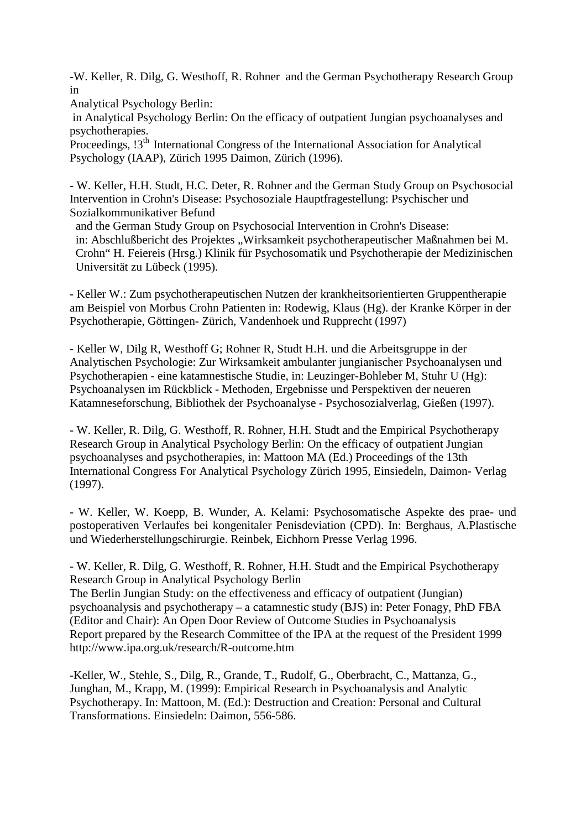-W. Keller, R. Dilg, G. Westhoff, R. Rohner and the German Psychotherapy Research Group in

Analytical Psychology Berlin:

 in Analytical Psychology Berlin: On the efficacy of outpatient Jungian psychoanalyses and psychotherapies.

Proceedings, 13<sup>th</sup> International Congress of the International Association for Analytical Psychology (IAAP), Zürich 1995 Daimon, Zürich (1996).

- W. Keller, H.H. Studt, H.C. Deter, R. Rohner and the German Study Group on Psychosocial Intervention in Crohn's Disease: Psychosoziale Hauptfragestellung: Psychischer und Sozialkommunikativer Befund

 and the German Study Group on Psychosocial Intervention in Crohn's Disease: in: Abschlußbericht des Projektes "Wirksamkeit psychotherapeutischer Maßnahmen bei M. Crohn" H. Feiereis (Hrsg.) Klinik für Psychosomatik und Psychotherapie der Medizinischen Universität zu Lübeck (1995).

- Keller W.: Zum psychotherapeutischen Nutzen der krankheitsorientierten Gruppentherapie am Beispiel von Morbus Crohn Patienten in: Rodewig, Klaus (Hg). der Kranke Körper in der Psychotherapie, Göttingen- Zürich, Vandenhoek und Rupprecht (1997)

- Keller W, Dilg R, Westhoff G; Rohner R, Studt H.H. und die Arbeitsgruppe in der Analytischen Psychologie: Zur Wirksamkeit ambulanter jungianischer Psychoanalysen und Psychotherapien - eine katamnestische Studie, in: Leuzinger-Bohleber M, Stuhr U (Hg): Psychoanalysen im Rückblick - Methoden, Ergebnisse und Perspektiven der neueren Katamneseforschung, Bibliothek der Psychoanalyse - Psychosozialverlag, Gießen (1997).

- W. Keller, R. Dilg, G. Westhoff, R. Rohner, H.H. Studt and the Empirical Psychotherapy Research Group in Analytical Psychology Berlin: On the efficacy of outpatient Jungian psychoanalyses and psychotherapies, in: Mattoon MA (Ed.) Proceedings of the 13th International Congress For Analytical Psychology Zürich 1995, Einsiedeln, Daimon- Verlag (1997).

- W. Keller, W. Koepp, B. Wunder, A. Kelami: Psychosomatische Aspekte des prae- und postoperativen Verlaufes bei kongenitaler Penisdeviation (CPD). In: Berghaus, A.Plastische und Wiederherstellungschirurgie. Reinbek, Eichhorn Presse Verlag 1996.

- W. Keller, R. Dilg, G. Westhoff, R. Rohner, H.H. Studt and the Empirical Psychotherapy Research Group in Analytical Psychology Berlin

The Berlin Jungian Study: on the effectiveness and efficacy of outpatient (Jungian) psychoanalysis and psychotherapy – a catamnestic study (BJS) in: Peter Fonagy, PhD FBA (Editor and Chair): An Open Door Review of Outcome Studies in Psychoanalysis Report prepared by the Research Committee of the IPA at the request of the President 1999 http://www.ipa.org.uk/research/R-outcome.htm

-Keller, W., Stehle, S., Dilg, R., Grande, T., Rudolf, G., Oberbracht, C., Mattanza, G., Junghan, M., Krapp, M. (1999): Empirical Research in Psychoanalysis and Analytic Psychotherapy. In: Mattoon, M. (Ed.): Destruction and Creation: Personal and Cultural Transformations. Einsiedeln: Daimon, 556-586.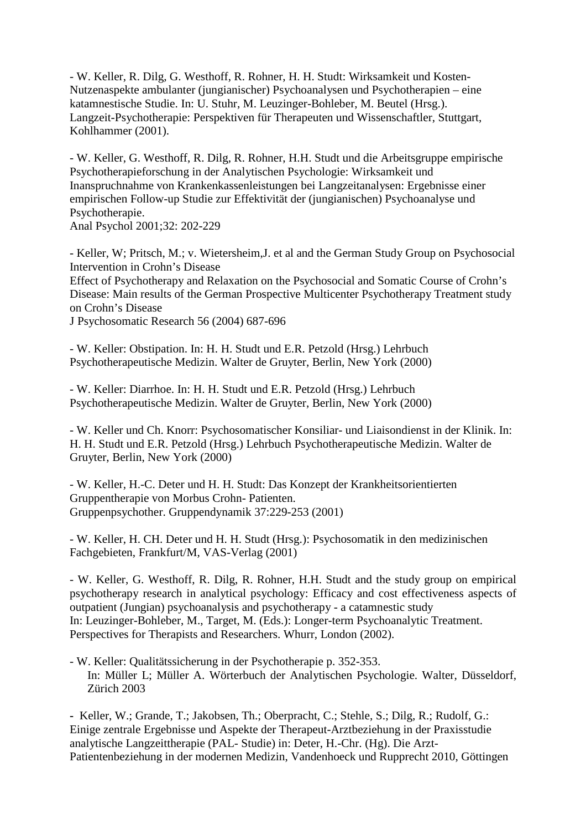- W. Keller, R. Dilg, G. Westhoff, R. Rohner, H. H. Studt: Wirksamkeit und Kosten-Nutzenaspekte ambulanter (jungianischer) Psychoanalysen und Psychotherapien – eine katamnestische Studie. In: U. Stuhr, M. Leuzinger-Bohleber, M. Beutel (Hrsg.). Langzeit-Psychotherapie: Perspektiven für Therapeuten und Wissenschaftler, Stuttgart, Kohlhammer (2001).

- W. Keller, G. Westhoff, R. Dilg, R. Rohner, H.H. Studt und die Arbeitsgruppe empirische Psychotherapieforschung in der Analytischen Psychologie: Wirksamkeit und Inanspruchnahme von Krankenkassenleistungen bei Langzeitanalysen: Ergebnisse einer empirischen Follow-up Studie zur Effektivität der (jungianischen) Psychoanalyse und Psychotherapie.

Anal Psychol 2001;32: 202-229

- Keller, W; Pritsch, M.; v. Wietersheim,J. et al and the German Study Group on Psychosocial Intervention in Crohn's Disease

Effect of Psychotherapy and Relaxation on the Psychosocial and Somatic Course of Crohn's Disease: Main results of the German Prospective Multicenter Psychotherapy Treatment study on Crohn's Disease

J Psychosomatic Research 56 (2004) 687-696

- W. Keller: Obstipation. In: H. H. Studt und E.R. Petzold (Hrsg.) Lehrbuch Psychotherapeutische Medizin. Walter de Gruyter, Berlin, New York (2000)

- W. Keller: Diarrhoe. In: H. H. Studt und E.R. Petzold (Hrsg.) Lehrbuch Psychotherapeutische Medizin. Walter de Gruyter, Berlin, New York (2000)

- W. Keller und Ch. Knorr: Psychosomatischer Konsiliar- und Liaisondienst in der Klinik. In: H. H. Studt und E.R. Petzold (Hrsg.) Lehrbuch Psychotherapeutische Medizin. Walter de Gruyter, Berlin, New York (2000)

- W. Keller, H.-C. Deter und H. H. Studt: Das Konzept der Krankheitsorientierten Gruppentherapie von Morbus Crohn- Patienten. Gruppenpsychother. Gruppendynamik 37:229-253 (2001)

- W. Keller, H. CH. Deter und H. H. Studt (Hrsg.): Psychosomatik in den medizinischen Fachgebieten, Frankfurt/M, VAS-Verlag (2001)

- W. Keller, G. Westhoff, R. Dilg, R. Rohner, H.H. Studt and the study group on empirical psychotherapy research in analytical psychology: Efficacy and cost effectiveness aspects of outpatient (Jungian) psychoanalysis and psychotherapy - a catamnestic study In: Leuzinger-Bohleber, M., Target, M. (Eds.): Longer-term Psychoanalytic Treatment. Perspectives for Therapists and Researchers. Whurr, London (2002).

- W. Keller: Qualitätssicherung in der Psychotherapie p. 352-353. In: Müller L; Müller A. Wörterbuch der Analytischen Psychologie. Walter, Düsseldorf, Zürich 2003

**-** Keller, W.; Grande, T.; Jakobsen, Th.; Oberpracht, C.; Stehle, S.; Dilg, R.; Rudolf, G.: Einige zentrale Ergebnisse und Aspekte der Therapeut-Arztbeziehung in der Praxisstudie analytische Langzeittherapie (PAL- Studie) in: Deter, H.-Chr. (Hg). Die Arzt-Patientenbeziehung in der modernen Medizin, Vandenhoeck und Rupprecht 2010, Göttingen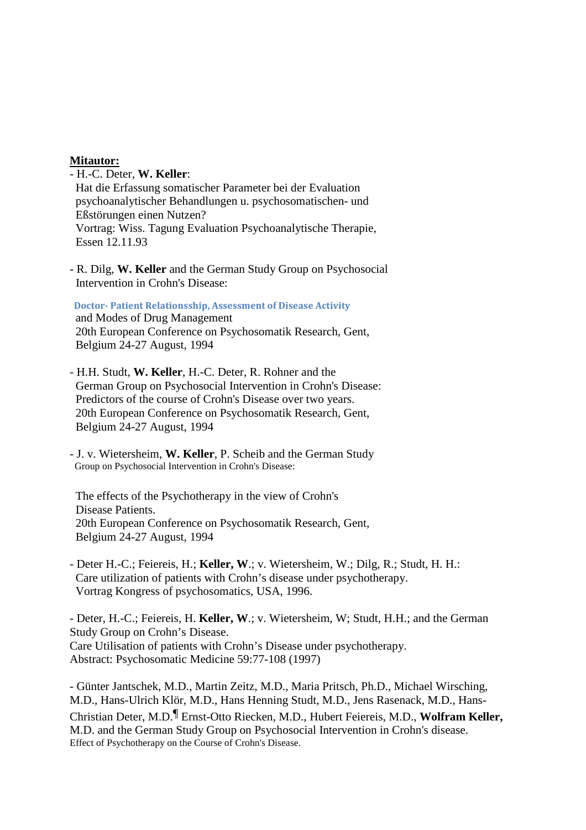## **Mitautor:**

- H.-C. Deter, **W. Keller**: Hat die Erfassung somatischer Parameter bei der Evaluation psychoanalytischer Behandlungen u. psychosomatischen- und Eßstörungen einen Nutzen? Vortrag: Wiss. Tagung Evaluation Psychoanalytische Therapie, Essen 12.11.93

- R. Dilg, **W. Keller** and the German Study Group on Psychosocial Intervention in Crohn's Disease:

 **Doctor- Patient Relationsship, Assessment of Disease Activity**  and Modes of Drug Management 20th European Conference on Psychosomatik Research, Gent, Belgium 24-27 August, 1994

- H.H. Studt, **W. Keller**, H.-C. Deter, R. Rohner and the German Group on Psychosocial Intervention in Crohn's Disease: Predictors of the course of Crohn's Disease over two years. 20th European Conference on Psychosomatik Research, Gent, Belgium 24-27 August, 1994
- J. v. Wietersheim, **W. Keller**, P. Scheib and the German Study Group on Psychosocial Intervention in Crohn's Disease:

 The effects of the Psychotherapy in the view of Crohn's Disease Patients. 20th European Conference on Psychosomatik Research, Gent, Belgium 24-27 August, 1994

- Deter H.-C.; Feiereis, H.; **Keller, W**.; v. Wietersheim, W.; Dilg, R.; Studt, H. H.: Care utilization of patients with Crohn's disease under psychotherapy. Vortrag Kongress of psychosomatics, USA, 1996.

- Deter, H.-C.; Feiereis, H. **Keller, W**.; v. Wietersheim, W; Studt, H.H.; and the German Study Group on Crohn's Disease. Care Utilisation of patients with Crohn's Disease under psychotherapy. Abstract: Psychosomatic Medicine 59:77-108 (1997)

- Günter Jantschek, M.D., Martin Zeitz, M.D., Maria Pritsch, Ph.D., Michael Wirsching, M.D., Hans-Ulrich Klör, M.D., Hans Henning Studt, M.D., Jens Rasenack, M.D., Hans-Christian Deter, M.D.¶ Ernst-Otto Riecken, M.D., Hubert Feiereis, M.D., **Wolfram Keller,** M.D. and the German Study Group on Psychosocial Intervention in Crohn's disease. Effect of Psychotherapy on the Course of Crohn's Disease.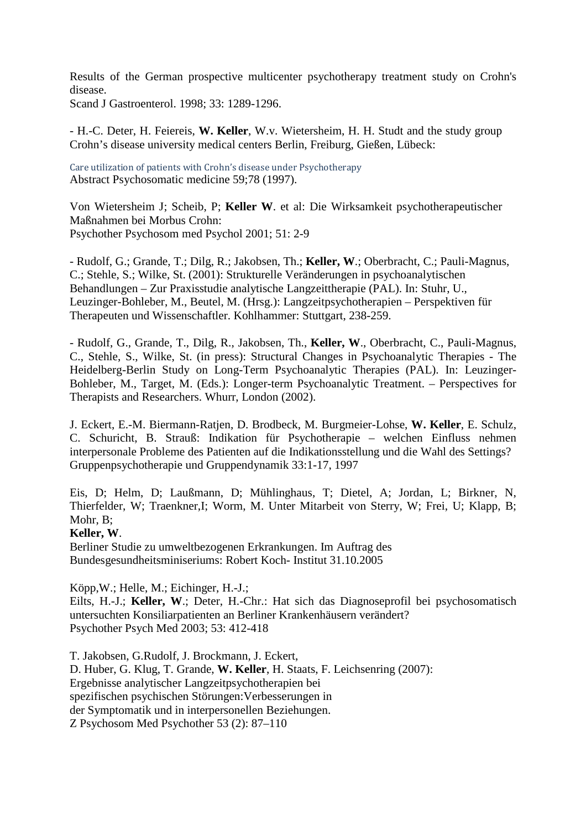Results of the German prospective multicenter psychotherapy treatment study on Crohn's disease.

Scand J Gastroenterol. 1998; 33: 1289-1296.

- H.-C. Deter, H. Feiereis, **W. Keller**, W.v. Wietersheim, H. H. Studt and the study group Crohn's disease university medical centers Berlin, Freiburg, Gießen, Lübeck:

Care utilization of patients with Crohn's disease under Psychotherapy Abstract Psychosomatic medicine 59;78 (1997).

Von Wietersheim J; Scheib, P; **Keller W**. et al: Die Wirksamkeit psychotherapeutischer Maßnahmen bei Morbus Crohn: Psychother Psychosom med Psychol 2001; 51: 2-9

- Rudolf, G.; Grande, T.; Dilg, R.; Jakobsen, Th.; **Keller, W**.; Oberbracht, C.; Pauli-Magnus, C.; Stehle, S.; Wilke, St. (2001): Strukturelle Veränderungen in psychoanalytischen Behandlungen – Zur Praxisstudie analytische Langzeittherapie (PAL). In: Stuhr, U., Leuzinger-Bohleber, M., Beutel, M. (Hrsg.): Langzeitpsychotherapien – Perspektiven für Therapeuten und Wissenschaftler. Kohlhammer: Stuttgart, 238-259.

- Rudolf, G., Grande, T., Dilg, R., Jakobsen, Th., **Keller, W**., Oberbracht, C., Pauli-Magnus, C., Stehle, S., Wilke, St. (in press): Structural Changes in Psychoanalytic Therapies - The Heidelberg-Berlin Study on Long-Term Psychoanalytic Therapies (PAL). In: Leuzinger-Bohleber, M., Target, M. (Eds.): Longer-term Psychoanalytic Treatment. – Perspectives for Therapists and Researchers. Whurr, London (2002).

J. Eckert, E.-M. Biermann-Ratjen, D. Brodbeck, M. Burgmeier-Lohse, **W. Keller**, E. Schulz, C. Schuricht, B. Strauß: Indikation für Psychotherapie – welchen Einfluss nehmen interpersonale Probleme des Patienten auf die Indikationsstellung und die Wahl des Settings? Gruppenpsychotherapie und Gruppendynamik 33:1-17, 1997

Eis, D; Helm, D; Laußmann, D; Mühlinghaus, T; Dietel, A; Jordan, L; Birkner, N, Thierfelder, W; Traenkner,I; Worm, M. Unter Mitarbeit von Sterry, W; Frei, U; Klapp, B; Mohr, B;

## **Keller, W**.

Berliner Studie zu umweltbezogenen Erkrankungen. Im Auftrag des Bundesgesundheitsminiseriums: Robert Koch- Institut 31.10.2005

Köpp,W.; Helle, M.; Eichinger, H.-J.;

Eilts, H.-J.; **Keller, W**.; Deter, H.-Chr.: Hat sich das Diagnoseprofil bei psychosomatisch untersuchten Konsiliarpatienten an Berliner Krankenhäusern verändert? Psychother Psych Med 2003; 53: 412-418

T. Jakobsen, G.Rudolf, J. Brockmann, J. Eckert, D. Huber, G. Klug, T. Grande, **W. Keller**, H. Staats, F. Leichsenring (2007): Ergebnisse analytischer Langzeitpsychotherapien bei spezifischen psychischen Störungen:Verbesserungen in der Symptomatik und in interpersonellen Beziehungen. Z Psychosom Med Psychother 53 (2): 87–110